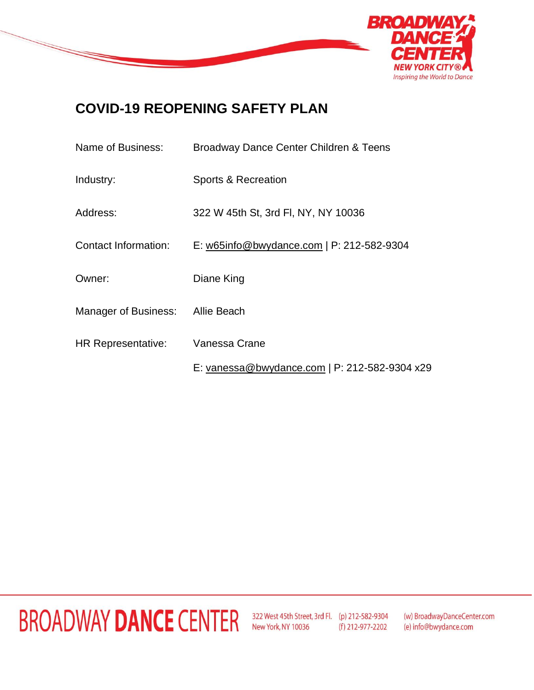

#### **COVID-19 REOPENING SAFETY PLAN**

| Name of Business:                | Broadway Dance Center Children & Teens        |
|----------------------------------|-----------------------------------------------|
| Industry:                        | Sports & Recreation                           |
| Address:                         | 322 W 45th St, 3rd FI, NY, NY 10036           |
| <b>Contact Information:</b>      | E: w65info@bwydance.com   P: 212-582-9304     |
| Owner:                           | Diane King                                    |
| Manager of Business: Allie Beach |                                               |
| <b>HR Representative:</b>        | Vanessa Crane                                 |
|                                  | E: vanessa@bwydance.com   P: 212-582-9304 x29 |

### **BROADWAY DANCE CENTER**

322 West 45th Street, 3rd Fl. (p) 212-582-9304 New York, NY 10036 (f) 212-977-2202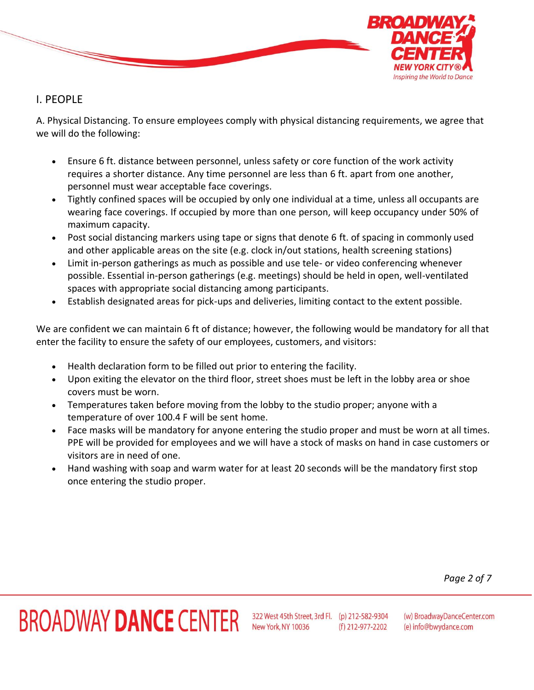

#### I. PEOPLE

A. Physical Distancing. To ensure employees comply with physical distancing requirements, we agree that we will do the following:

- Ensure 6 ft. distance between personnel, unless safety or core function of the work activity requires a shorter distance. Any time personnel are less than 6 ft. apart from one another, personnel must wear acceptable face coverings.
- Tightly confined spaces will be occupied by only one individual at a time, unless all occupants are wearing face coverings. If occupied by more than one person, will keep occupancy under 50% of maximum capacity.
- Post social distancing markers using tape or signs that denote 6 ft. of spacing in commonly used and other applicable areas on the site (e.g. clock in/out stations, health screening stations)
- Limit in-person gatherings as much as possible and use tele- or video conferencing whenever possible. Essential in-person gatherings (e.g. meetings) should be held in open, well-ventilated spaces with appropriate social distancing among participants.
- Establish designated areas for pick-ups and deliveries, limiting contact to the extent possible.

We are confident we can maintain 6 ft of distance; however, the following would be mandatory for all that enter the facility to ensure the safety of our employees, customers, and visitors:

- Health declaration form to be filled out prior to entering the facility.
- Upon exiting the elevator on the third floor, street shoes must be left in the lobby area or shoe covers must be worn.
- Temperatures taken before moving from the lobby to the studio proper; anyone with a temperature of over 100.4 F will be sent home.
- Face masks will be mandatory for anyone entering the studio proper and must be worn at all times. PPE will be provided for employees and we will have a stock of masks on hand in case customers or visitors are in need of one.
- Hand washing with soap and warm water for at least 20 seconds will be the mandatory first stop once entering the studio proper.

*Page 2 of 7*

# **BROADWAY DANCE CENTER**

322 West 45th Street, 3rd Fl. (p) 212-582-9304 New York, NY 10036 (f) 212-977-2202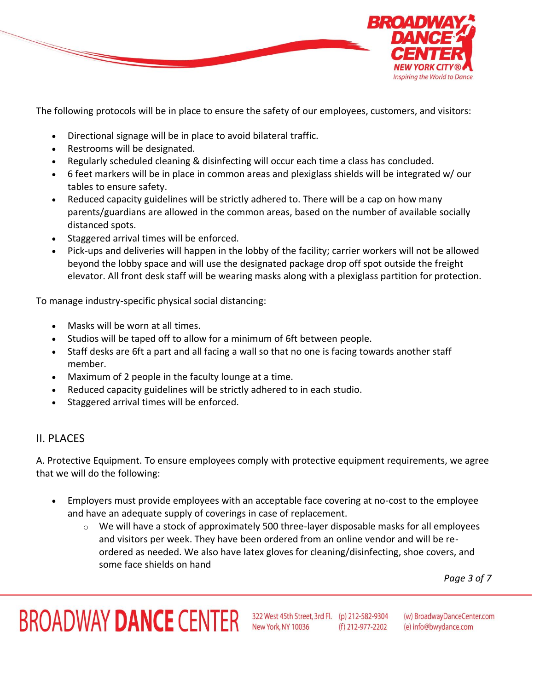

The following protocols will be in place to ensure the safety of our employees, customers, and visitors:

- Directional signage will be in place to avoid bilateral traffic.
- Restrooms will be designated.
- Regularly scheduled cleaning & disinfecting will occur each time a class has concluded.
- 6 feet markers will be in place in common areas and plexiglass shields will be integrated w/ our tables to ensure safety.
- Reduced capacity guidelines will be strictly adhered to. There will be a cap on how many parents/guardians are allowed in the common areas, based on the number of available socially distanced spots.
- Staggered arrival times will be enforced.
- Pick-ups and deliveries will happen in the lobby of the facility; carrier workers will not be allowed beyond the lobby space and will use the designated package drop off spot outside the freight elevator. All front desk staff will be wearing masks along with a plexiglass partition for protection.

To manage industry-specific physical social distancing:

- Masks will be worn at all times.
- Studios will be taped off to allow for a minimum of 6ft between people.
- Staff desks are 6ft a part and all facing a wall so that no one is facing towards another staff member.
- Maximum of 2 people in the faculty lounge at a time.
- Reduced capacity guidelines will be strictly adhered to in each studio.
- Staggered arrival times will be enforced.

#### II. PLACES

A. Protective Equipment. To ensure employees comply with protective equipment requirements, we agree that we will do the following:

- Employers must provide employees with an acceptable face covering at no-cost to the employee and have an adequate supply of coverings in case of replacement.
	- $\circ$  We will have a stock of approximately 500 three-layer disposable masks for all employees and visitors per week. They have been ordered from an online vendor and will be reordered as needed. We also have latex gloves for cleaning/disinfecting, shoe covers, and some face shields on hand

*Page 3 of 7*

# BROADWAY DANCE CENTER 322 West 45th Street, 3rd Fl. (p) 212-582-9304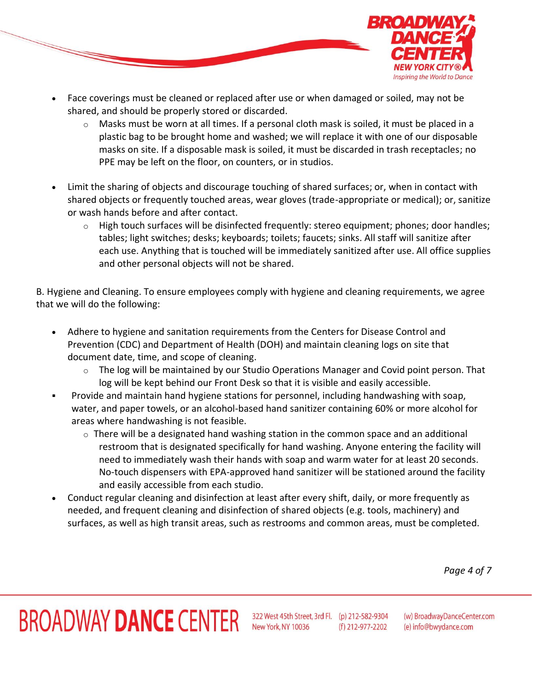

- Face coverings must be cleaned or replaced after use or when damaged or soiled, may not be shared, and should be properly stored or discarded.
	- $\circ$  Masks must be worn at all times. If a personal cloth mask is soiled, it must be placed in a plastic bag to be brought home and washed; we will replace it with one of our disposable masks on site. If a disposable mask is soiled, it must be discarded in trash receptacles; no PPE may be left on the floor, on counters, or in studios.
- Limit the sharing of objects and discourage touching of shared surfaces; or, when in contact with shared objects or frequently touched areas, wear gloves (trade-appropriate or medical); or, sanitize or wash hands before and after contact.
	- o High touch surfaces will be disinfected frequently: stereo equipment; phones; door handles; tables; light switches; desks; keyboards; toilets; faucets; sinks. All staff will sanitize after each use. Anything that is touched will be immediately sanitized after use. All office supplies and other personal objects will not be shared.

B. Hygiene and Cleaning. To ensure employees comply with hygiene and cleaning requirements, we agree that we will do the following:

- Adhere to hygiene and sanitation requirements from the Centers for Disease Control and Prevention (CDC) and Department of Health (DOH) and maintain cleaning logs on site that document date, time, and scope of cleaning.
	- $\circ$  The log will be maintained by our Studio Operations Manager and Covid point person. That log will be kept behind our Front Desk so that it is visible and easily accessible.
- Provide and maintain hand hygiene stations for personnel, including handwashing with soap, water, and paper towels, or an alcohol-based hand sanitizer containing 60% or more alcohol for areas where handwashing is not feasible.
	- $\circ$  There will be a designated hand washing station in the common space and an additional restroom that is designated specifically for hand washing. Anyone entering the facility will need to immediately wash their hands with soap and warm water for at least 20 seconds. No-touch dispensers with EPA-approved hand sanitizer will be stationed around the facility and easily accessible from each studio.
- Conduct regular cleaning and disinfection at least after every shift, daily, or more frequently as needed, and frequent cleaning and disinfection of shared objects (e.g. tools, machinery) and surfaces, as well as high transit areas, such as restrooms and common areas, must be completed.

*Page 4 of 7*

## BROADWAY DANCE CENTER 322 West 45th Street, 3rd Fl. (p) 212-582-9304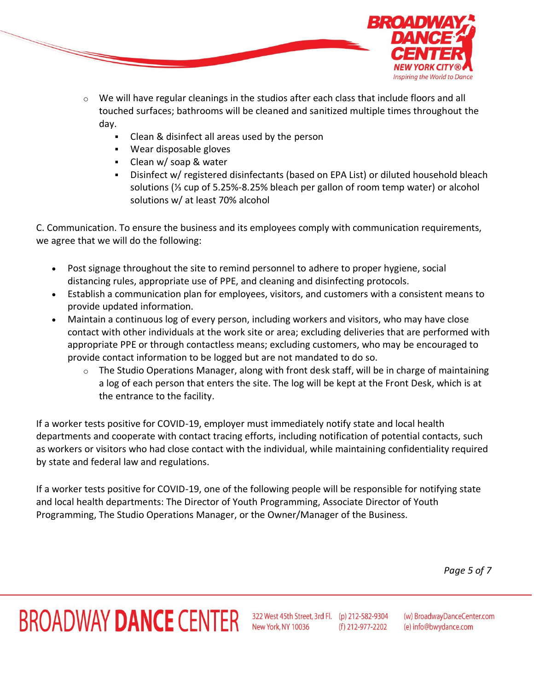

- $\circ$  We will have regular cleanings in the studios after each class that include floors and all touched surfaces; bathrooms will be cleaned and sanitized multiple times throughout the day.
	- Clean & disinfect all areas used by the person
	- Wear disposable gloves
	- Clean w/ soap & water
	- Disinfect w/ registered disinfectants (based on EPA List) or diluted household bleach solutions (⅓ cup of 5.25%-8.25% bleach per gallon of room temp water) or alcohol solutions w/ at least 70% alcohol

C. Communication. To ensure the business and its employees comply with communication requirements, we agree that we will do the following:

- Post signage throughout the site to remind personnel to adhere to proper hygiene, social distancing rules, appropriate use of PPE, and cleaning and disinfecting protocols.
- Establish a communication plan for employees, visitors, and customers with a consistent means to provide updated information.
- Maintain a continuous log of every person, including workers and visitors, who may have close contact with other individuals at the work site or area; excluding deliveries that are performed with appropriate PPE or through contactless means; excluding customers, who may be encouraged to provide contact information to be logged but are not mandated to do so.
	- $\circ$  The Studio Operations Manager, along with front desk staff, will be in charge of maintaining a log of each person that enters the site. The log will be kept at the Front Desk, which is at the entrance to the facility.

If a worker tests positive for COVID-19, employer must immediately notify state and local health departments and cooperate with contact tracing efforts, including notification of potential contacts, such as workers or visitors who had close contact with the individual, while maintaining confidentiality required by state and federal law and regulations.

If a worker tests positive for COVID-19, one of the following people will be responsible for notifying state and local health departments: The Director of Youth Programming, Associate Director of Youth Programming, The Studio Operations Manager, or the Owner/Manager of the Business.

*Page 5 of 7*

## BROADWAY DANCE CENTER 322 West 45th Street, 3rd Fl. (p) 212-582-9304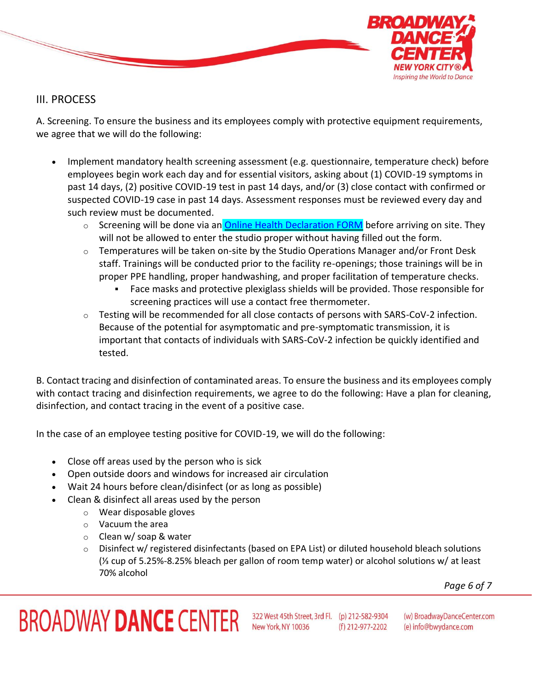

#### III. PROCESS

A. Screening. To ensure the business and its employees comply with protective equipment requirements, we agree that we will do the following:

- Implement mandatory health screening assessment (e.g. questionnaire, temperature check) before employees begin work each day and for essential visitors, asking about (1) COVID-19 symptoms in past 14 days, (2) positive COVID-19 test in past 14 days, and/or (3) close contact with confirmed or suspected COVID-19 case in past 14 days. Assessment responses must be reviewed every day and such review must be documented.
	- o Screening will be done via an **[Online Health Declaration FORM](https://docs.google.com/forms/d/e/1FAIpQLSdKKObrpmw-E5aKqSMewRjFiuEuLy3UmBSbpRDO1k77W-yROw/viewform?gxids=7757)** before arriving on site. They will not be allowed to enter the studio proper without having filled out the form.
	- $\circ$  Temperatures will be taken on-site by the Studio Operations Manager and/or Front Desk staff. Trainings will be conducted prior to the facility re-openings; those trainings will be in proper PPE handling, proper handwashing, and proper facilitation of temperature checks.
		- Face masks and protective plexiglass shields will be provided. Those responsible for screening practices will use a contact free thermometer.
	- $\circ$  Testing will be recommended for all close contacts of persons with SARS-CoV-2 infection. Because of the potential for asymptomatic and pre-symptomatic transmission, it is important that contacts of individuals with SARS-CoV-2 infection be quickly identified and tested.

B. Contact tracing and disinfection of contaminated areas. To ensure the business and its employees comply with contact tracing and disinfection requirements, we agree to do the following: Have a plan for cleaning, disinfection, and contact tracing in the event of a positive case.

In the case of an employee testing positive for COVID-19, we will do the following:

- Close off areas used by the person who is sick
- Open outside doors and windows for increased air circulation
- Wait 24 hours before clean/disinfect (or as long as possible)
- Clean & disinfect all areas used by the person
	- o Wear disposable gloves
	- o Vacuum the area
	- o Clean w/ soap & water
	- $\circ$  Disinfect w/ registered disinfectants (based on EPA List) or diluted household bleach solutions (⅓ cup of 5.25%-8.25% bleach per gallon of room temp water) or alcohol solutions w/ at least 70% alcohol

*Page 6 of 7*

### BROADWAY DANCE CENTER 322 West 45th Street, 3rd Fl. (p) 212-582-9304